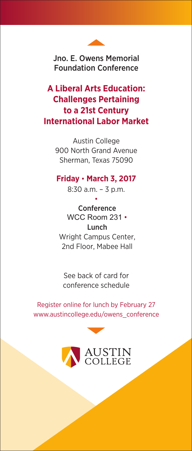

Jno. E. Owens Memorial Foundation Conference

# **A Liberal Arts Education: Challenges Pertaining to a 21st Century International Labor Market**

Austin College 900 North Grand Avenue Sherman, Texas 75090

### **Friday** • **March 3, 2017**

8:30 a.m. – 3 p.m. •

**Conference** WCC Room 231 • Lunch Wright Campus Center, 2nd Floor, Mabee Hall

See back of card for conference schedule

Register online for lunch by February 27 www.austincollege.edu/owens\_conference